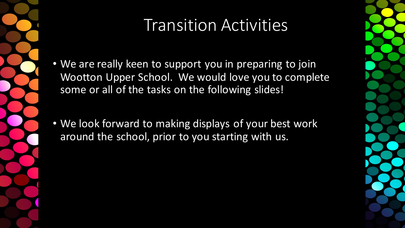

### Transition Activities

- We are really keen to support you in preparing to join Wootton Upper School. We would love you to complete some or all of the tasks on the following slides!
- We look forward to making displays of your best work around the school, prior to you starting with us.

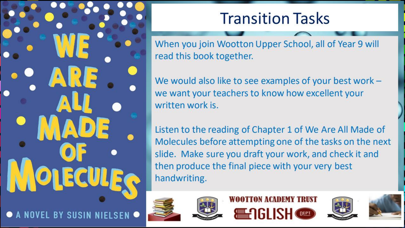**Transition Tasks** 

When you join Wootton Upper School, all of Year 9 will read this book together.

We would also like to see examples of your best work we want your teachers to know how excellent your written work is.

Listen to the reading of Chapter 1 of We Are All Made of Molecules before attempting one of the tasks on the next slide. Make sure you draft your work, and check it and then produce the final piece with your very best handwriting.









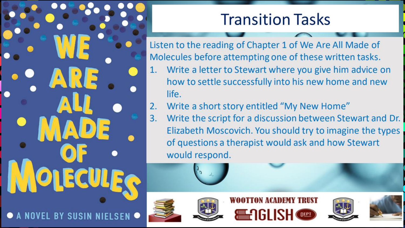A NOVEL BY SUSIN

### **Transition Tasks**

Listen to the reading of Chapter 1 of We Are All Made of Molecules before attempting one of these written tasks. Write a letter to Stewart where you give him advice on 1. how to settle successfully into his new home and new life.

- Write a short story entitled "My New Home"  $2.$
- Write the script for a discussion between Stewart and Dr.  $3.$ Elizabeth Moscovich. You should try to imagine the types of questions a therapist would ask and how Stewart would respond.









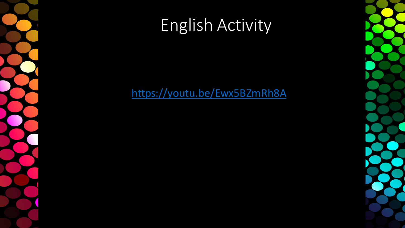## English Activity

#### https://youtu.be/Ewx5BZmRh8A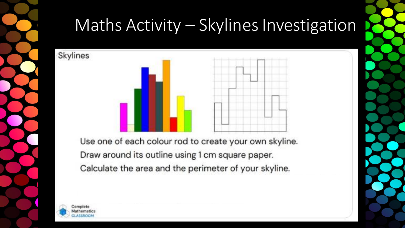

# Maths Activity – Skylines Investigation



Use one of each colour rod to create your own skyline. Draw around its outline using 1 cm square paper. Calculate the area and the perimeter of your skyline.



Skylines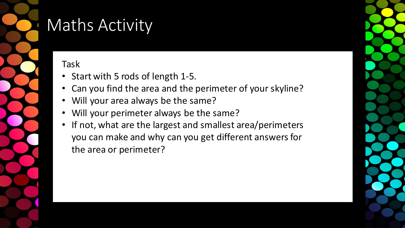

# Maths Activity

Task

- Start with 5 rods of length 1-5.
- Can you find the area and the perimeter of your skyline?
- Will your area always be the same?
- Will your perimeter always be the same?
- If not, what are the largest and smallest area/perimeters you can make and why can you get different answers for the area or perimeter?

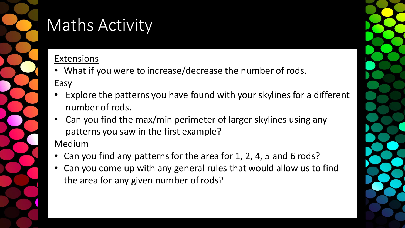

# Maths Activity

#### Extensions

- What if you were to increase/decrease the number of rods. Easy
- Explore the patterns you have found with your skylines for a different number of rods.
- Can you find the max/min perimeter of larger skylines using any patterns you saw in the first example?

#### Medium

- Can you find any patterns for the area for 1, 2, 4, 5 and 6 rods?
- Can you come up with any general rules that would allow us to find the area for any given number of rods?

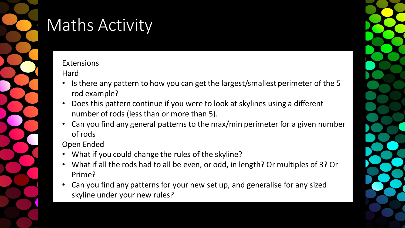

# Maths Activity

#### **Extensions**

Hard

- Is there any pattern to how you can get the largest/smallest perimeter of the 5 rod example?
- Does this pattern continue if you were to look at skylines using a different number of rods (less than or more than 5).
- Can you find any general patterns to the max/min perimeter for a given number of rods

#### Open Ended

- What if you could change the rules of the skyline?
- What if all the rods had to all be even, or odd, in length? Or multiples of 3? Or Prime?
- Can you find any patterns for your new set up, and generalise for any sized skyline under your new rules?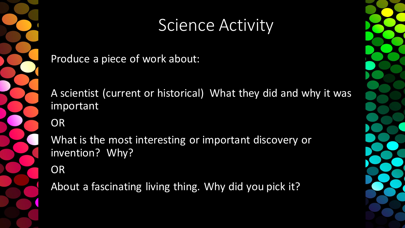

#### Science Activity

Produce a piece of work about:

A scientist (current or historical) What they did and why it was important

OR

What is the most interesting or important discovery or invention? Why?

**OR** 

About a fascinating living thing. Why did you pick it?

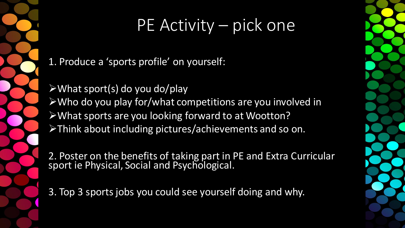# PE Activity – pick one

1. Produce a 'sports profile' on yourself:

➢What sport(s) do you do/play ➢Who do you play for/what competitions are you involved in ➢What sports are you looking forward to at Wootton? ➢Think about including pictures/achievements and so on.

2. Poster on the benefits of taking part in PE and Extra Curricular sport ie Physical, Social and Psychological.

3. Top 3 sports jobs you could see yourself doing and why.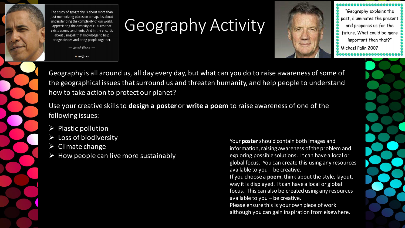

The study of geography is about more than just memorizing places on a map. It's about understanding the complexity of our world, appreciating the diversity of cultures that exists across continents. And in the end, it's about using all that knowledge to help bridge divides and bring people together.  $-$  Barack Obama  $-$ 

**AZ QUOTES** 

### Geography Activity



"Geography explains the past, illuminates the present and prepares us for the future. What could be more important than that?" Michael Palin 2007

Geography is all around us, all day every day, but what can you do to raise awareness of some of the geographical issues that surround us and threaten humanity, and help people to understand how to take action to protect our planet?

Use your creative skills to **design a poster** or **write a poem** to raise awareness of one of the following issues:

- $\triangleright$  Plastic pollution
- $\triangleright$  Loss of biodiversity
- $\triangleright$  Climate change
- $\triangleright$  How people can live more sustainably

Your **poster**should contain both images and information, raising awareness of the problem and exploring possible solutions. It can have a local or global focus. You can create this using any resources available to you – be creative.

If you choose a **poem**, think about the style, layout, way it is displayed. It can have a local or global focus. This can also be created using any resources available to you – be creative.

Please ensure this is your own piece of work although you can gain inspiration from elsewhere.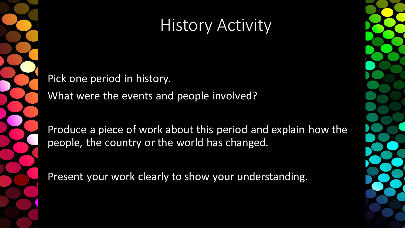### **History Activity**

Pick one period in history.

What were the events and people involved?

Produce a piece of work about this period and explain how the people, the country or the world has changed.

Present your work clearly to show your understanding.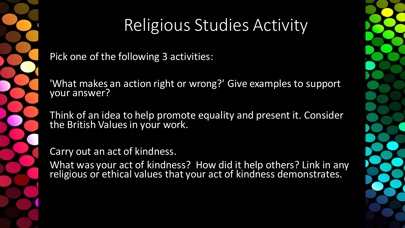

### Religious Studies Activity

Pick one of the following 3 activities:

'What makes an action right or wrong?' Give examples to support your answer?

Think of an idea to help promote equality and present it. Consider the British Values in your work.

Carry out an act of kindness.

What was your act of kindness? How did it help others? Link in any religious or ethical values that your act of kindness demonstrates.

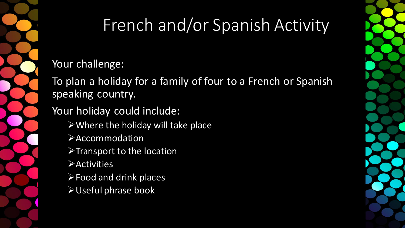

## French and/or Spanish Activity

Your challenge:

To plan a holiday for a family of four to a French or Spanish speaking country.

Your holiday could include:

- $\triangleright$  Where the holiday will take place
- ➢Accommodation
- ➢Transport to the location
- ➢Activities
- ➢Food and drink places
- ➢Useful phrase book

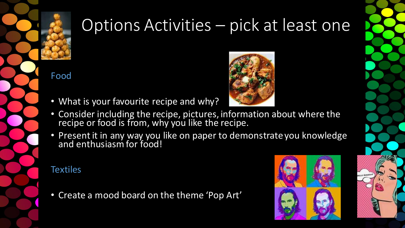

### Options Activities – pick at least one

Food

- What is your favourite recipe and why?
- Consider including the recipe, pictures, information about where the recipe or food is from, why you like the recipe.
- Present it in any way you like on paper to demonstrate you knowledge and enthusiasm for food!

#### **Textiles**

• Create a mood board on the theme 'Pop Art'



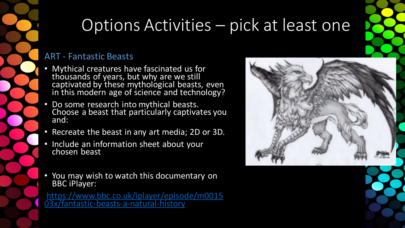## Options Activities – pick at least one

#### ART - Fantastic Beasts

- Mythical creatures have fascinated us for thousands of years, but why are we still captivated by these mythological beasts, even in this modern age of science and technology?
- Do some research into mythical beasts. Choose a beast that particularly captivates you and:
- Recreate the beast in any art media; 2D or 3D.
- Include an information sheet about your chosen beast
- You may wish to watch this documentary on BBC iPlayer:

[https://www.bbc.co.uk/iplayer/episode/m0015](https://www.bbc.co.uk/iplayer/episode/m001503x/fantastic-beasts-a-natural-history) 03x/fantastic-beasts-a-natural-history